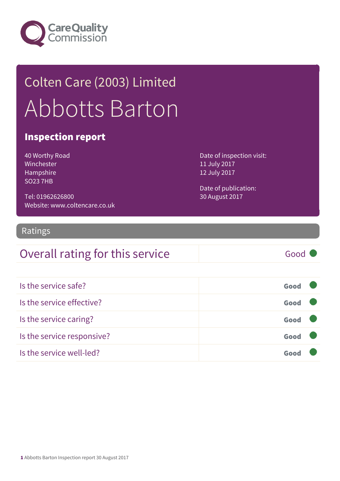

## Colten Care (2003) Limited Abbotts Barton

### Inspection report

40 Worthy Road Winchester Hampshire SO23 7HB

Tel: 01962626800 Website: www.coltencare.co.uk Date of inspection visit: 11 July 2017 12 July 2017

Date of publication: 30 August 2017

### Ratings

### Overall rating for this service Good

| Is the service safe?       | Good |  |
|----------------------------|------|--|
| Is the service effective?  | Good |  |
| Is the service caring?     | Good |  |
| Is the service responsive? | Good |  |
| Is the service well-led?   | Goo  |  |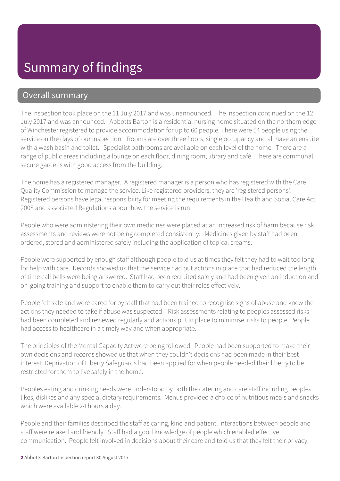### Overall summary

The inspection took place on the 11 July 2017 and was unannounced. The inspection continued on the 12 July 2017 and was announced. Abbotts Barton is a residential nursing home situated on the northern edge of Winchester registered to provide accommodation for up to 60 people. There were 54 people using the service on the days of our inspection. Rooms are over three floors, single occupancy and all have an ensuite with a wash basin and toilet. Specialist bathrooms are available on each level of the home. There are a range of public areas including a lounge on each floor, dining room, library and café. There are communal secure gardens with good access from the building.

The home has a registered manager. A registered manager is a person who has registered with the Care Quality Commission to manage the service. Like registered providers, they are 'registered persons'. Registered persons have legal responsibility for meeting the requirements in the Health and Social Care Act 2008 and associated Regulations about how the service is run.

People who were administering their own medicines were placed at an increased risk of harm because risk assessments and reviews were not being completed consistently. Medicines given by staff had been ordered, stored and administered safely including the application of topical creams.

People were supported by enough staff although people told us at times they felt they had to wait too long for help with care. Records showed us that the service had put actions in place that had reduced the length of time call bells were being answered. Staff had been recruited safely and had been given an induction and on-going training and support to enable them to carry out their roles effectively.

People felt safe and were cared for by staff that had been trained to recognise signs of abuse and knew the actions they needed to take if abuse was suspected. Risk assessments relating to peoples assessed risks had been completed and reviewed regularly and actions put in place to minimise risks to people. People had access to healthcare in a timely way and when appropriate.

The principles of the Mental Capacity Act were being followed. People had been supported to make their own decisions and records showed us that when they couldn't decisions had been made in their best interest. Deprivation of Liberty Safeguards had been applied for when people needed their liberty to be restricted for them to live safely in the home.

Peoples eating and drinking needs were understood by both the catering and care staff including peoples likes, dislikes and any special dietary requirements. Menus provided a choice of nutritious meals and snacks which were available 24 hours a day.

People and their families described the staff as caring, kind and patient. Interactions between people and staff were relaxed and friendly. Staff had a good knowledge of people which enabled effective communication. People felt involved in decisions about their care and told us that they felt their privacy,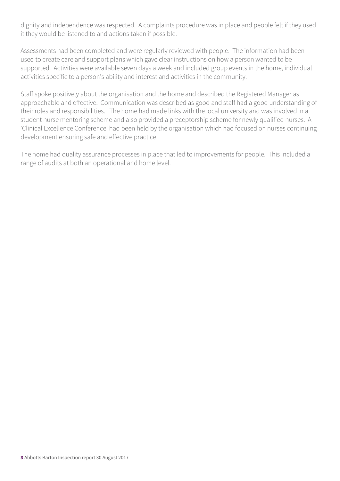dignity and independence was respected. A complaints procedure was in place and people felt if they used it they would be listened to and actions taken if possible.

Assessments had been completed and were regularly reviewed with people. The information had been used to create care and support plans which gave clear instructions on how a person wanted to be supported. Activities were available seven days a week and included group events in the home, individual activities specific to a person's ability and interest and activities in the community.

Staff spoke positively about the organisation and the home and described the Registered Manager as approachable and effective. Communication was described as good and staff had a good understanding of their roles and responsibilities. The home had made links with the local university and was involved in a student nurse mentoring scheme and also provided a preceptorship scheme for newly qualified nurses. A 'Clinical Excellence Conference' had been held by the organisation which had focused on nurses continuing development ensuring safe and effective practice.

The home had quality assurance processes in place that led to improvements for people. This included a range of audits at both an operational and home level.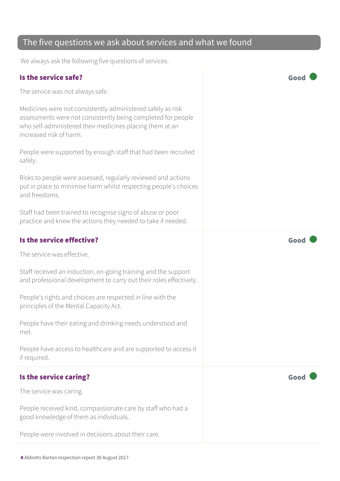### The five questions we ask about services and what we found

We always ask the following five questions of services.

### Is the service safe? Good

The service was not always safe.

Medicines were not consistently administered safely as risk assessments were not consistently being completed for people who self-administered their medicines placing them at an increased risk of harm.

People were supported by enough staff that had been recruited safely.

Risks to people were assessed, regularly reviewed and actions put in place to minimise harm whilst respecting people's choices and freedoms.

Staff had been trained to recognise signs of abuse or poor practice and knew the actions they needed to take if needed.

#### Is the service effective?  $\blacksquare$

The service was effective.

Staff received an induction, on-going training and the support and professional development to carry out their roles effectively.

People's rights and choices are respected in line with the principles of the Mental Capacity Act.

People have their eating and drinking needs understood and met.

People have access to healthcare and are supported to access it if required.

### Is the service caring? The service caring?

The service was caring.

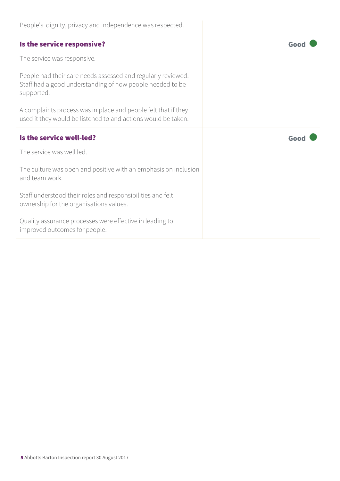| People's dignity, privacy and independence was respected.                                                                               |      |
|-----------------------------------------------------------------------------------------------------------------------------------------|------|
| Is the service responsive?                                                                                                              | Good |
| The service was responsive.                                                                                                             |      |
| People had their care needs assessed and regularly reviewed.<br>Staff had a good understanding of how people needed to be<br>supported. |      |
| A complaints process was in place and people felt that if they<br>used it they would be listened to and actions would be taken.         |      |
|                                                                                                                                         |      |
| Is the service well-led?                                                                                                                | Good |
| The service was well led.                                                                                                               |      |
| The culture was open and positive with an emphasis on inclusion<br>and team work.                                                       |      |
| Staff understood their roles and responsibilities and felt<br>ownership for the organisations values.                                   |      |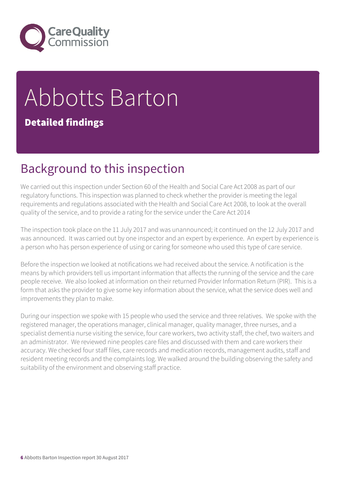

# Abbotts Barton

### Detailed findings

## Background to this inspection

We carried out this inspection under Section 60 of the Health and Social Care Act 2008 as part of our regulatory functions. This inspection was planned to check whether the provider is meeting the legal requirements and regulations associated with the Health and Social Care Act 2008, to look at the overall quality of the service, and to provide a rating for the service under the Care Act 2014

The inspection took place on the 11 July 2017 and was unannounced; it continued on the 12 July 2017 and was announced. It was carried out by one inspector and an expert by experience. An expert by experience is a person who has person experience of using or caring for someone who used this type of care service.

Before the inspection we looked at notifications we had received about the service. A notification is the means by which providers tell us important information that affects the running of the service and the care people receive. We also looked at information on their returned Provider Information Return (PIR). This is a form that asks the provider to give some key information about the service, what the service does well and improvements they plan to make.

During our inspection we spoke with 15 people who used the service and three relatives. We spoke with the registered manager, the operations manager, clinical manager, quality manager, three nurses, and a specialist dementia nurse visiting the service, four care workers, two activity staff, the chef, two waiters and an administrator. We reviewed nine peoples care files and discussed with them and care workers their accuracy. We checked four staff files, care records and medication records, management audits, staff and resident meeting records and the complaints log. We walked around the building observing the safety and suitability of the environment and observing staff practice.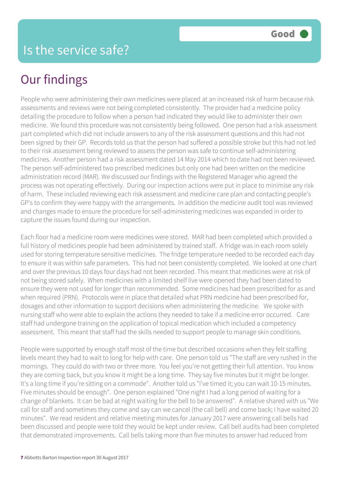People who were administering their own medicines were placed at an increased risk of harm because risk assessments and reviews were not being completed consistently. The provider had a medicine policy detailing the procedure to follow when a person had indicated they would like to administer their own medicine. We found this procedure was not consistently being followed. One person had a risk assessment part completed which did not include answers to any of the risk assessment questions and this had not been signed by their GP. Records told us that the person had suffered a possible stroke but this had not led to their risk assessment being reviewed to assess the person was safe to continue self-administering medicines. Another person had a risk assessment dated 14 May 2014 which to date had not been reviewed. The person self-administered two prescribed medicines but only one had been written on the medicine administration record (MAR). We discussed our findings with the Registered Manager who agreed the process was not operating effectively. During our inspection actions were put in place to minimise any risk of harm. These included reviewing each risk assessment and medicine care plan and contacting people's GP's to confirm they were happy with the arrangements. In addition the medicine audit tool was reviewed and changes made to ensure the procedure for self-administering medicines was expanded in order to capture the issues found during our inspection.

Each floor had a medicine room were medicines were stored. MAR had been completed which provided a full history of medicines people had been administered by trained staff. A fridge was in each room solely used for storing temperature sensitive medicines. The fridge temperature needed to be recorded each day to ensure it was within safe parameters. This had not been consistently completed. We looked at one chart and over the previous 10 days four days had not been recorded. This meant that medicines were at risk of not being stored safely. When medicines with a limited shelf live were opened they had been dated to ensure they were not used for longer than recommended. Some medicines had been prescribed for as and when required (PRN). Protocols were in place that detailed what PRN medicine had been prescribed for, dosages and other information to support decisions when administering the medicine. We spoke with nursing staff who were able to explain the actions they needed to take if a medicine error occurred. Care staff had undergone training on the application of topical medication which included a competency assessment. This meant that staff had the skills needed to support people to manage skin conditions.

People were supported by enough staff most of the time but described occasions when they felt staffing levels meant they had to wait to long for help with care. One person told us "The staff are very rushed in the mornings. They could do with two or three more. You feel you're not getting their full attention. You know they are coming back, but you know it might be a long time. They say five minutes but it might be longer. It's a long time if you're sitting on a commode". Another told us "I've timed it; you can wait 10-15 minutes. Five minutes should be enough". One person explained "One night I had a long period of waiting for a change of blankets. It can be bad at night waiting for the bell to be answered". A relative shared with us "We call for staff and sometimes they come and say can we cancel (the call bell) and come back; I have waited 20 minutes". We read resident and relative meeting minutes for January 2017 were answering call bells had been discussed and people were told they would be kept under review. Call bell audits had been completed that demonstrated improvements. Call bells taking more than five minutes to answer had reduced from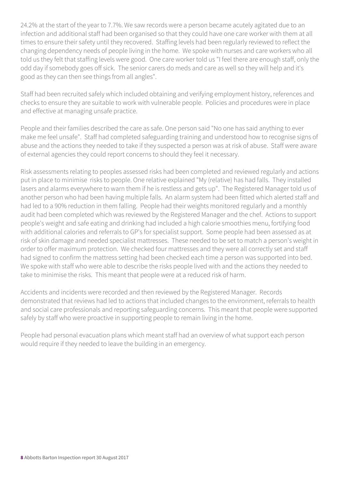24.2% at the start of the year to 7.7%. We saw records were a person became acutely agitated due to an infection and additional staff had been organised so that they could have one care worker with them at all times to ensure their safety until they recovered. Staffing levels had been regularly reviewed to reflect the changing dependency needs of people living in the home. We spoke with nurses and care workers who all told us they felt that staffing levels were good. One care worker told us "I feel there are enough staff, only the odd day if somebody goes off sick. The senior carers do meds and care as well so they will help and it's good as they can then see things from all angles".

Staff had been recruited safely which included obtaining and verifying employment history, references and checks to ensure they are suitable to work with vulnerable people. Policies and procedures were in place and effective at managing unsafe practice.

People and their families described the care as safe. One person said "No one has said anything to ever make me feel unsafe". Staff had completed safeguarding training and understood how to recognise signs of abuse and the actions they needed to take if they suspected a person was at risk of abuse. Staff were aware of external agencies they could report concerns to should they feel it necessary.

Risk assessments relating to peoples assessed risks had been completed and reviewed regularly and actions put in place to minimise risks to people. One relative explained "My (relative) has had falls. They installed lasers and alarms everywhere to warn them if he is restless and gets up". The Registered Manager told us of another person who had been having multiple falls. An alarm system had been fitted which alerted staff and had led to a 90% reduction in them falling. People had their weights monitored regularly and a monthly audit had been completed which was reviewed by the Registered Manager and the chef. Actions to support people's weight and safe eating and drinking had included a high calorie smoothies menu, fortifying food with additional calories and referrals to GP's for specialist support. Some people had been assessed as at risk of skin damage and needed specialist mattresses. These needed to be set to match a person's weight in order to offer maximum protection. We checked four mattresses and they were all correctly set and staff had signed to confirm the mattress setting had been checked each time a person was supported into bed. We spoke with staff who were able to describe the risks people lived with and the actions they needed to take to minimise the risks. This meant that people were at a reduced risk of harm.

Accidents and incidents were recorded and then reviewed by the Registered Manager. Records demonstrated that reviews had led to actions that included changes to the environment, referrals to health and social care professionals and reporting safeguarding concerns. This meant that people were supported safely by staff who were proactive in supporting people to remain living in the home.

People had personal evacuation plans which meant staff had an overview of what support each person would require if they needed to leave the building in an emergency.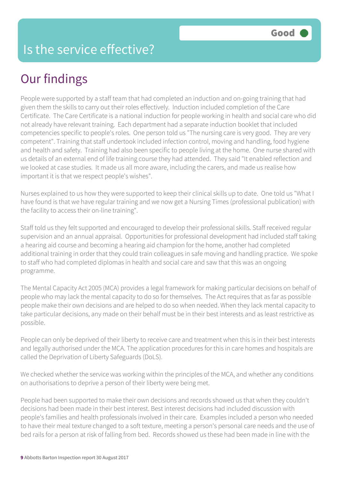People were supported by a staff team that had completed an induction and on-going training that had given them the skills to carry out their roles effectively. Induction included completion of the Care Certificate. The Care Certificate is a national induction for people working in health and social care who did not already have relevant training. Each department had a separate induction booklet that included competencies specific to people's roles. One person told us "The nursing care is very good. They are very competent". Training that staff undertook included infection control, moving and handling, food hygiene and health and safety. Training had also been specific to people living at the home. One nurse shared with us details of an external end of life training course they had attended. They said "It enabled reflection and we looked at case studies. It made us all more aware, including the carers, and made us realise how important it is that we respect people's wishes".

Nurses explained to us how they were supported to keep their clinical skills up to date. One told us "What I have found is that we have regular training and we now get a Nursing Times (professional publication) with the facility to access their on-line training".

Staff told us they felt supported and encouraged to develop their professional skills. Staff received regular supervision and an annual appraisal. Opportunities for professional development had included staff taking a hearing aid course and becoming a hearing aid champion for the home, another had completed additional training in order that they could train colleagues in safe moving and handling practice. We spoke to staff who had completed diplomas in health and social care and saw that this was an ongoing programme.

The Mental Capacity Act 2005 (MCA) provides a legal framework for making particular decisions on behalf of people who may lack the mental capacity to do so for themselves. The Act requires that as far as possible people make their own decisions and are helped to do so when needed. When they lack mental capacity to take particular decisions, any made on their behalf must be in their best interests and as least restrictive as possible.

People can only be deprived of their liberty to receive care and treatment when this is in their best interests and legally authorised under the MCA. The application procedures for this in care homes and hospitals are called the Deprivation of Liberty Safeguards (DoLS).

We checked whether the service was working within the principles of the MCA, and whether any conditions on authorisations to deprive a person of their liberty were being met.

People had been supported to make their own decisions and records showed us that when they couldn't decisions had been made in their best interest. Best interest decisions had included discussion with people's families and health professionals involved in their care. Examples included a person who needed to have their meal texture changed to a soft texture, meeting a person's personal care needs and the use of bed rails for a person at risk of falling from bed. Records showed us these had been made in line with the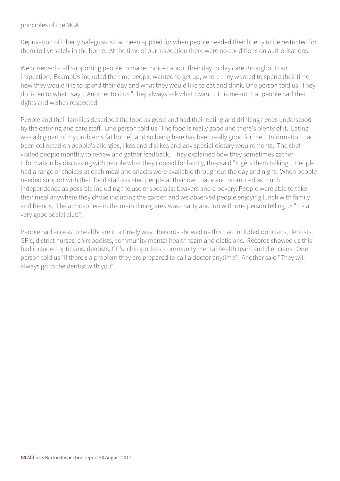principles of the MCA.

Deprivation of Liberty Safeguards had been applied for when people needed their liberty to be restricted for them to live safely in the home. At the time of our inspection there were no conditions on authorisations.

We observed staff supporting people to make choices about their day to day care throughout our inspection. Examples included the time people wanted to get up, where they wanted to spend their time, how they would like to spend their day and what they would like to eat and drink. One person told us "They do listen to what I say". Another told us "They always ask what I want". This meant that people had their rights and wishes respected.

People and their families described the food as good and had their eating and drinking needs understood by the catering and care staff. One person told us "The food is really good and there's plenty of it. Eating was a big part of my problems (at home), and so being here has been really good for me". Information had been collected on people's allergies, likes and dislikes and any special dietary requirements. The chef visited people monthly to review and gather feedback. They explained how they sometimes gather information by discussing with people what they cooked for family, they said "It gets them talking". People had a range of choices at each meal and snacks were available throughout the day and night. When people needed support with their food staff assisted people at their own pace and promoted as much independence as possible including the use of specialist beakers and crockery. People were able to take their meal anywhere they chose including the garden and we observed people enjoying lunch with family and friends. The atmosphere in the main dining area was chatty and fun with one person telling us "It's a very good social club".

People had access to healthcare in a timely way. Records showed us this had included opticians, dentists, GP's, district nurses, chiropodists, community mental health team and dieticians. Records showed us this had included opticians, dentists, GP's, chiropodists, community mental health team and dieticians. One person told us "If there's a problem they are prepared to call a doctor anytime". Another said "They will always go to the dentist with you".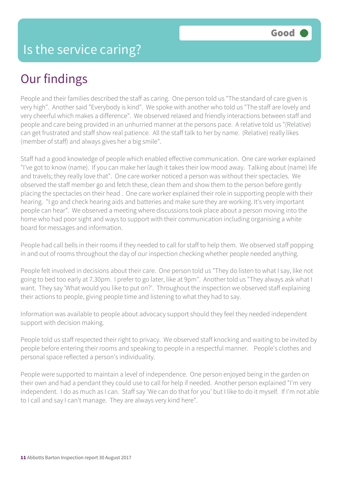People and their families described the staff as caring. One person told us "The standard of care given is very high". Another said "Everybody is kind". We spoke with another who told us "The staff are lovely and very cheerful which makes a difference". We observed relaxed and friendly interactions between staff and people and care being provided in an unhurried manner at the persons pace. A relative told us "(Relative) can get frustrated and staff show real patience. All the staff talk to her by name. (Relative) really likes (member of staff) and always gives her a big smile".

Staff had a good knowledge of people which enabled effective communication. One care worker explained "I've got to know (name). If you can make her laugh it takes their low mood away. Talking about (name) life and travels; they really love that". One care worker noticed a person was without their spectacles. We observed the staff member go and fetch these, clean them and show them to the person before gently placing the spectacles on their head . One care worker explained their role in supporting people with their hearing. "I go and check hearing aids and batteries and make sure they are working. It's very important people can hear". We observed a meeting where discussions took place about a person moving into the home who had poor sight and ways to support with their communication including organising a white board for messages and information.

People had call bells in their rooms if they needed to call for staff to help them. We observed staff popping in and out of rooms throughout the day of our inspection checking whether people needed anything.

People felt involved in decisions about their care. One person told us "They do listen to what I say, like not going to bed too early at 7.30pm. I prefer to go later, like at 9pm". Another told us "They always ask what I want. They say 'What would you like to put on?'. Throughout the inspection we observed staff explaining their actions to people, giving people time and listening to what they had to say.

Information was available to people about advocacy support should they feel they needed independent support with decision making.

People told us staff respected their right to privacy. We observed staff knocking and waiting to be invited by people before entering their rooms and speaking to people in a respectful manner. People's clothes and personal space reflected a person's individuality.

People were supported to maintain a level of independence. One person enjoyed being in the garden on their own and had a pendant they could use to call for help if needed. Another person explained "I'm very independent. I do as much as I can. Staff say 'We can do that for you' but I like to do it myself. If I'm not able to I call and say I can't manage. They are always very kind here".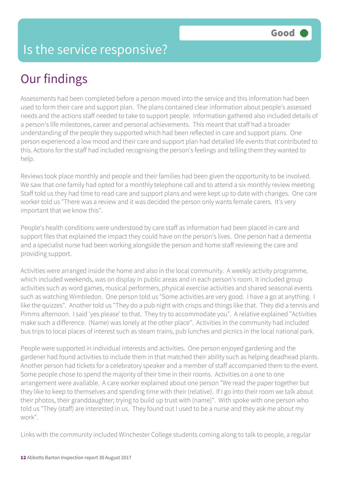Assessments had been completed before a person moved into the service and this information had been used to form their care and support plan. The plans contained clear information about people's assessed needs and the actions staff needed to take to support people. Information gathered also included details of a person's life milestones, career and personal achievements. This meant that staff had a broader understanding of the people they supported which had been reflected in care and support plans. One person experienced a low mood and their care and support plan had detailed life events that contributed to this. Actions for the staff had included recognising the person's feelings and telling them they wanted to help.

Reviews took place monthly and people and their families had been given the opportunity to be involved. We saw that one family had opted for a monthly telephone call and to attend a six monthly review meeting. Staff told us they had time to read care and support plans and were kept up to date with changes. One care worker told us "There was a review and it was decided the person only wants female carers. It's very important that we know this".

People's health conditions were understood by care staff as information had been placed in care and support files that explained the impact they could have on the person's lives. One person had a dementia and a specialist nurse had been working alongside the person and home staff reviewing the care and providing support.

Activities were arranged inside the home and also in the local community. A weekly activity programme, which included weekends, was on display in public areas and in each person's room. It included group activities such as word games, musical performers, physical exercise activities and shared seasonal events such as watching Wimbledon. One person told us "Some activities are very good. I have a go at anything. I like the quizzes". Another told us "They do a pub night with crisps and things like that. They did a tennis and Pimms afternoon. I said 'yes please' to that. They try to accommodate you". A relative explained "Activities make such a difference. (Name) was lonely at the other place". Activities in the community had included bus trips to local places of interest such as steam trains, pub lunches and picnics in the local national park.

People were supported in individual interests and activities. One person enjoyed gardening and the gardener had found activities to include them in that matched their ability such as helping deadhead plants. Another person had tickets for a celebratory speaker and a member of staff accompanied them to the event. Some people chose to spend the majority of their time in their rooms. Activities on a one to one arrangement were available. A care worker explained about one person "We read the paper together but they like to keep to themselves and spending time with their (relative). If I go into their room we talk about their photos, their granddaughter; trying to build up trust with (name)". With spoke with one person who told us "They (staff) are interested in us. They found out I used to be a nurse and they ask me about my work".

Links with the community included Winchester College students coming along to talk to people, a regular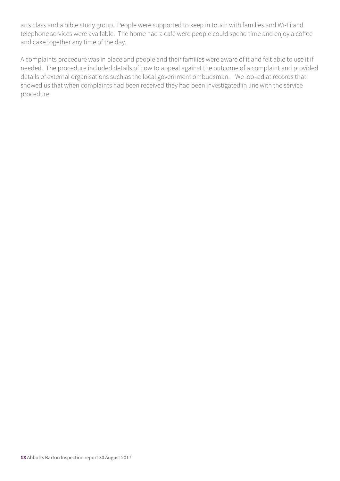arts class and a bible study group. People were supported to keep in touch with families and Wi-Fi and telephone services were available. The home had a café were people could spend time and enjoy a coffee and cake together any time of the day.

A complaints procedure was in place and people and their families were aware of it and felt able to use it if needed. The procedure included details of how to appeal against the outcome of a complaint and provided details of external organisations such as the local government ombudsman. We looked at records that showed us that when complaints had been received they had been investigated in line with the service procedure.